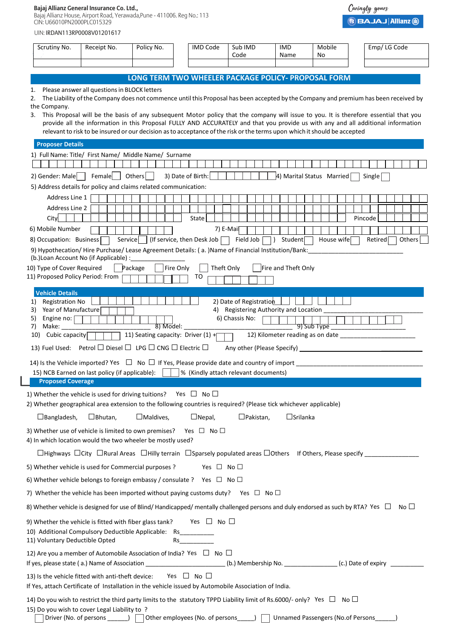## **Bajaj Allianz General Insurance Co. Ltd.,**

Bajaj Allianz House, Airport Road, Yerawada,Pune - 411006. Reg No.: 113 CIN: U66010PN2000PLC015329

|  | UIN: IRDAN113RP0008V01201617 |
|--|------------------------------|
|--|------------------------------|

| LONG TERM TWO WHEELER PACKAGE POLICY- PROPOSAL FORM<br>Please answer all questions in BLOCK letters<br>1.<br>The Liability of the Company does not commence until this Proposal has been accepted by the Company and premium has been received by<br>2.<br>the Company.<br>This Proposal will be the basis of any subsequent Motor policy that the company will issue to you. It is therefore essential that you<br>3.<br>provide all the information in this Proposal FULLY AND ACCURATELY and that you provide us with any and all additional information<br>relevant to risk to be insured or our decision as to acceptance of the risk or the terms upon which it should be accepted<br><b>Proposer Details</b><br>1) Full Name: Title/ First Name/ Middle Name/ Surname<br>2) Gender: Male   Female  <br>Others $ $<br>3) Date of Birth:<br>4) Marital Status Married<br>Single<br>5) Address details for policy and claims related communication:<br>Address Line 1<br><b>Address Line 2</b><br>City<br>State<br>Pincode<br>6) Mobile Number<br>7) E-Mail<br>Service $\vert$ (If service, then Desk Job<br>Field Job<br>Student <sup>-</sup><br>House wife<br>Retired <sup>[</sup><br>Others<br>8) Occupation: Business<br>9) Hypothecation/ Hire Purchase/ Lease Agreement Details: (a. )Name of Financial Institution/Bank:<br>(b.)Loan Account No (if Applicable) :<br>Fire Only<br>Theft Only<br>10) Type of Cover Required<br>Package<br>Fire and Theft Only<br>11) Proposed Policy Period: From<br>то<br><b>Vehicle Details</b><br>2) Date of Registration<br><b>Registration No</b><br>1)<br>Year of Manufacture<br>4) Registering Authority and Location ____<br>3)<br>6) Chassis No:<br>5)<br>Engine no:<br>Make:<br>$\overline{8}$ ) Model:<br>9) Sub Type<br>7)<br>11) Seating capacity: Driver (1) +<br>Cubic capacity<br>10)<br>13) Fuel Used: Petrol □ Diesel □ LPG □ CNG □ Electric □<br>14) Is the Vehicle imported? Yes $\Box$ No $\Box$ If Yes, Please provide date and country of import<br>15) NCB Earned on last policy (if applicable):<br> % (Kindly attach relevant documents)<br><b>Proposed Coverage</b><br>1) Whether the vehicle is used for driving tuitions? Yes $\Box$ No $\Box$<br>2) Whether geographical area extension to the following countries is required? (Please tick whichever applicable)<br>$\Box$ Srilanka<br>$\Box$ Bangladesh,<br>$\square$ Bhutan,<br>$\Box$ Maldives,<br>$\Box$ Nepal,<br>$\Box$ Pakistan,<br>3) Whether use of vehicle is limited to own premises?<br>Yes □ No□<br>4) In which location would the two wheeler be mostly used?<br>Yes $\Box$ No $\Box$<br>5) Whether vehicle is used for Commercial purposes ?<br>6) Whether vehicle belongs to foreign embassy / consulate ? Yes $\Box$ No $\Box$<br>7) Whether the vehicle has been imported without paying customs duty? Yes $\Box$ No $\Box$<br>8) Whether vehicle is designed for use of Blind/Handicapped/mentally challenged persons and duly endorsed as such by RTA? Yes $\Box$ No $\Box$<br>Yes $\Box$ No $\Box$<br>9) Whether the vehicle is fitted with fiber glass tank?<br>10) Additional Compulsory Deductible Applicable: Rs<br>11) Voluntary Deductible Opted<br>Rs and the state of the state of the state of the state of the state of the state of the state of the state of the state of the state of the state of the state of the state of the state of the state of the state of the sta<br>12) Are you a member of Automobile Association of India? Yes $\Box$ No $\Box$<br>(b.) Membership No. ________________(c.) Date of expiry<br>If yes, please state (a.) Name of Association _________________ | Scrutiny No. | Receipt No. | Policy No. | <b>IMD Code</b> | Sub IMD<br>Code | <b>IMD</b><br>Name | Mobile<br>No | Emp/LG Code |
|--------------------------------------------------------------------------------------------------------------------------------------------------------------------------------------------------------------------------------------------------------------------------------------------------------------------------------------------------------------------------------------------------------------------------------------------------------------------------------------------------------------------------------------------------------------------------------------------------------------------------------------------------------------------------------------------------------------------------------------------------------------------------------------------------------------------------------------------------------------------------------------------------------------------------------------------------------------------------------------------------------------------------------------------------------------------------------------------------------------------------------------------------------------------------------------------------------------------------------------------------------------------------------------------------------------------------------------------------------------------------------------------------------------------------------------------------------------------------------------------------------------------------------------------------------------------------------------------------------------------------------------------------------------------------------------------------------------------------------------------------------------------------------------------------------------------------------------------------------------------------------------------------------------------------------------------------------------------------------------------------------------------------------------------------------------------------------------------------------------------------------------------------------------------------------------------------------------------------------------------------------------------------------------------------------------------------------------------------------------------------------------------------------------------------------------------------------------------------------------------------------------------------------------------------------------------------------------------------------------------------------------------------------------------------------------------------------------------------------------------------------------------------------------------------------------------------------------------------------------------------------------------------------------------------------------------------------------------------------------------------------------------------------------------------------------------------------------------------------------------------------------------------------------------------------------------------------------------------------------------------------------------------------------------------------------------------------------------------------------------------------------------------------------------------------------------------------------------------------------------------------------------------------------------------------------------------------------------------------------------------------------------------------|--------------|-------------|------------|-----------------|-----------------|--------------------|--------------|-------------|
|                                                                                                                                                                                                                                                                                                                                                                                                                                                                                                                                                                                                                                                                                                                                                                                                                                                                                                                                                                                                                                                                                                                                                                                                                                                                                                                                                                                                                                                                                                                                                                                                                                                                                                                                                                                                                                                                                                                                                                                                                                                                                                                                                                                                                                                                                                                                                                                                                                                                                                                                                                                                                                                                                                                                                                                                                                                                                                                                                                                                                                                                                                                                                                                                                                                                                                                                                                                                                                                                                                                                                                                                                                                        |              |             |            |                 |                 |                    |              |             |
|                                                                                                                                                                                                                                                                                                                                                                                                                                                                                                                                                                                                                                                                                                                                                                                                                                                                                                                                                                                                                                                                                                                                                                                                                                                                                                                                                                                                                                                                                                                                                                                                                                                                                                                                                                                                                                                                                                                                                                                                                                                                                                                                                                                                                                                                                                                                                                                                                                                                                                                                                                                                                                                                                                                                                                                                                                                                                                                                                                                                                                                                                                                                                                                                                                                                                                                                                                                                                                                                                                                                                                                                                                                        |              |             |            |                 |                 |                    |              |             |
|                                                                                                                                                                                                                                                                                                                                                                                                                                                                                                                                                                                                                                                                                                                                                                                                                                                                                                                                                                                                                                                                                                                                                                                                                                                                                                                                                                                                                                                                                                                                                                                                                                                                                                                                                                                                                                                                                                                                                                                                                                                                                                                                                                                                                                                                                                                                                                                                                                                                                                                                                                                                                                                                                                                                                                                                                                                                                                                                                                                                                                                                                                                                                                                                                                                                                                                                                                                                                                                                                                                                                                                                                                                        |              |             |            |                 |                 |                    |              |             |
|                                                                                                                                                                                                                                                                                                                                                                                                                                                                                                                                                                                                                                                                                                                                                                                                                                                                                                                                                                                                                                                                                                                                                                                                                                                                                                                                                                                                                                                                                                                                                                                                                                                                                                                                                                                                                                                                                                                                                                                                                                                                                                                                                                                                                                                                                                                                                                                                                                                                                                                                                                                                                                                                                                                                                                                                                                                                                                                                                                                                                                                                                                                                                                                                                                                                                                                                                                                                                                                                                                                                                                                                                                                        |              |             |            |                 |                 |                    |              |             |
|                                                                                                                                                                                                                                                                                                                                                                                                                                                                                                                                                                                                                                                                                                                                                                                                                                                                                                                                                                                                                                                                                                                                                                                                                                                                                                                                                                                                                                                                                                                                                                                                                                                                                                                                                                                                                                                                                                                                                                                                                                                                                                                                                                                                                                                                                                                                                                                                                                                                                                                                                                                                                                                                                                                                                                                                                                                                                                                                                                                                                                                                                                                                                                                                                                                                                                                                                                                                                                                                                                                                                                                                                                                        |              |             |            |                 |                 |                    |              |             |
|                                                                                                                                                                                                                                                                                                                                                                                                                                                                                                                                                                                                                                                                                                                                                                                                                                                                                                                                                                                                                                                                                                                                                                                                                                                                                                                                                                                                                                                                                                                                                                                                                                                                                                                                                                                                                                                                                                                                                                                                                                                                                                                                                                                                                                                                                                                                                                                                                                                                                                                                                                                                                                                                                                                                                                                                                                                                                                                                                                                                                                                                                                                                                                                                                                                                                                                                                                                                                                                                                                                                                                                                                                                        |              |             |            |                 |                 |                    |              |             |
|                                                                                                                                                                                                                                                                                                                                                                                                                                                                                                                                                                                                                                                                                                                                                                                                                                                                                                                                                                                                                                                                                                                                                                                                                                                                                                                                                                                                                                                                                                                                                                                                                                                                                                                                                                                                                                                                                                                                                                                                                                                                                                                                                                                                                                                                                                                                                                                                                                                                                                                                                                                                                                                                                                                                                                                                                                                                                                                                                                                                                                                                                                                                                                                                                                                                                                                                                                                                                                                                                                                                                                                                                                                        |              |             |            |                 |                 |                    |              |             |
|                                                                                                                                                                                                                                                                                                                                                                                                                                                                                                                                                                                                                                                                                                                                                                                                                                                                                                                                                                                                                                                                                                                                                                                                                                                                                                                                                                                                                                                                                                                                                                                                                                                                                                                                                                                                                                                                                                                                                                                                                                                                                                                                                                                                                                                                                                                                                                                                                                                                                                                                                                                                                                                                                                                                                                                                                                                                                                                                                                                                                                                                                                                                                                                                                                                                                                                                                                                                                                                                                                                                                                                                                                                        |              |             |            |                 |                 |                    |              |             |
|                                                                                                                                                                                                                                                                                                                                                                                                                                                                                                                                                                                                                                                                                                                                                                                                                                                                                                                                                                                                                                                                                                                                                                                                                                                                                                                                                                                                                                                                                                                                                                                                                                                                                                                                                                                                                                                                                                                                                                                                                                                                                                                                                                                                                                                                                                                                                                                                                                                                                                                                                                                                                                                                                                                                                                                                                                                                                                                                                                                                                                                                                                                                                                                                                                                                                                                                                                                                                                                                                                                                                                                                                                                        |              |             |            |                 |                 |                    |              |             |
|                                                                                                                                                                                                                                                                                                                                                                                                                                                                                                                                                                                                                                                                                                                                                                                                                                                                                                                                                                                                                                                                                                                                                                                                                                                                                                                                                                                                                                                                                                                                                                                                                                                                                                                                                                                                                                                                                                                                                                                                                                                                                                                                                                                                                                                                                                                                                                                                                                                                                                                                                                                                                                                                                                                                                                                                                                                                                                                                                                                                                                                                                                                                                                                                                                                                                                                                                                                                                                                                                                                                                                                                                                                        |              |             |            |                 |                 |                    |              |             |
|                                                                                                                                                                                                                                                                                                                                                                                                                                                                                                                                                                                                                                                                                                                                                                                                                                                                                                                                                                                                                                                                                                                                                                                                                                                                                                                                                                                                                                                                                                                                                                                                                                                                                                                                                                                                                                                                                                                                                                                                                                                                                                                                                                                                                                                                                                                                                                                                                                                                                                                                                                                                                                                                                                                                                                                                                                                                                                                                                                                                                                                                                                                                                                                                                                                                                                                                                                                                                                                                                                                                                                                                                                                        |              |             |            |                 |                 |                    |              |             |
|                                                                                                                                                                                                                                                                                                                                                                                                                                                                                                                                                                                                                                                                                                                                                                                                                                                                                                                                                                                                                                                                                                                                                                                                                                                                                                                                                                                                                                                                                                                                                                                                                                                                                                                                                                                                                                                                                                                                                                                                                                                                                                                                                                                                                                                                                                                                                                                                                                                                                                                                                                                                                                                                                                                                                                                                                                                                                                                                                                                                                                                                                                                                                                                                                                                                                                                                                                                                                                                                                                                                                                                                                                                        |              |             |            |                 |                 |                    |              |             |
|                                                                                                                                                                                                                                                                                                                                                                                                                                                                                                                                                                                                                                                                                                                                                                                                                                                                                                                                                                                                                                                                                                                                                                                                                                                                                                                                                                                                                                                                                                                                                                                                                                                                                                                                                                                                                                                                                                                                                                                                                                                                                                                                                                                                                                                                                                                                                                                                                                                                                                                                                                                                                                                                                                                                                                                                                                                                                                                                                                                                                                                                                                                                                                                                                                                                                                                                                                                                                                                                                                                                                                                                                                                        |              |             |            |                 |                 |                    |              |             |
|                                                                                                                                                                                                                                                                                                                                                                                                                                                                                                                                                                                                                                                                                                                                                                                                                                                                                                                                                                                                                                                                                                                                                                                                                                                                                                                                                                                                                                                                                                                                                                                                                                                                                                                                                                                                                                                                                                                                                                                                                                                                                                                                                                                                                                                                                                                                                                                                                                                                                                                                                                                                                                                                                                                                                                                                                                                                                                                                                                                                                                                                                                                                                                                                                                                                                                                                                                                                                                                                                                                                                                                                                                                        |              |             |            |                 |                 |                    |              |             |
|                                                                                                                                                                                                                                                                                                                                                                                                                                                                                                                                                                                                                                                                                                                                                                                                                                                                                                                                                                                                                                                                                                                                                                                                                                                                                                                                                                                                                                                                                                                                                                                                                                                                                                                                                                                                                                                                                                                                                                                                                                                                                                                                                                                                                                                                                                                                                                                                                                                                                                                                                                                                                                                                                                                                                                                                                                                                                                                                                                                                                                                                                                                                                                                                                                                                                                                                                                                                                                                                                                                                                                                                                                                        |              |             |            |                 |                 |                    |              |             |
|                                                                                                                                                                                                                                                                                                                                                                                                                                                                                                                                                                                                                                                                                                                                                                                                                                                                                                                                                                                                                                                                                                                                                                                                                                                                                                                                                                                                                                                                                                                                                                                                                                                                                                                                                                                                                                                                                                                                                                                                                                                                                                                                                                                                                                                                                                                                                                                                                                                                                                                                                                                                                                                                                                                                                                                                                                                                                                                                                                                                                                                                                                                                                                                                                                                                                                                                                                                                                                                                                                                                                                                                                                                        |              |             |            |                 |                 |                    |              |             |
|                                                                                                                                                                                                                                                                                                                                                                                                                                                                                                                                                                                                                                                                                                                                                                                                                                                                                                                                                                                                                                                                                                                                                                                                                                                                                                                                                                                                                                                                                                                                                                                                                                                                                                                                                                                                                                                                                                                                                                                                                                                                                                                                                                                                                                                                                                                                                                                                                                                                                                                                                                                                                                                                                                                                                                                                                                                                                                                                                                                                                                                                                                                                                                                                                                                                                                                                                                                                                                                                                                                                                                                                                                                        |              |             |            |                 |                 |                    |              |             |
|                                                                                                                                                                                                                                                                                                                                                                                                                                                                                                                                                                                                                                                                                                                                                                                                                                                                                                                                                                                                                                                                                                                                                                                                                                                                                                                                                                                                                                                                                                                                                                                                                                                                                                                                                                                                                                                                                                                                                                                                                                                                                                                                                                                                                                                                                                                                                                                                                                                                                                                                                                                                                                                                                                                                                                                                                                                                                                                                                                                                                                                                                                                                                                                                                                                                                                                                                                                                                                                                                                                                                                                                                                                        |              |             |            |                 |                 |                    |              |             |
|                                                                                                                                                                                                                                                                                                                                                                                                                                                                                                                                                                                                                                                                                                                                                                                                                                                                                                                                                                                                                                                                                                                                                                                                                                                                                                                                                                                                                                                                                                                                                                                                                                                                                                                                                                                                                                                                                                                                                                                                                                                                                                                                                                                                                                                                                                                                                                                                                                                                                                                                                                                                                                                                                                                                                                                                                                                                                                                                                                                                                                                                                                                                                                                                                                                                                                                                                                                                                                                                                                                                                                                                                                                        |              |             |            |                 |                 |                    |              |             |
|                                                                                                                                                                                                                                                                                                                                                                                                                                                                                                                                                                                                                                                                                                                                                                                                                                                                                                                                                                                                                                                                                                                                                                                                                                                                                                                                                                                                                                                                                                                                                                                                                                                                                                                                                                                                                                                                                                                                                                                                                                                                                                                                                                                                                                                                                                                                                                                                                                                                                                                                                                                                                                                                                                                                                                                                                                                                                                                                                                                                                                                                                                                                                                                                                                                                                                                                                                                                                                                                                                                                                                                                                                                        |              |             |            |                 |                 |                    |              |             |
|                                                                                                                                                                                                                                                                                                                                                                                                                                                                                                                                                                                                                                                                                                                                                                                                                                                                                                                                                                                                                                                                                                                                                                                                                                                                                                                                                                                                                                                                                                                                                                                                                                                                                                                                                                                                                                                                                                                                                                                                                                                                                                                                                                                                                                                                                                                                                                                                                                                                                                                                                                                                                                                                                                                                                                                                                                                                                                                                                                                                                                                                                                                                                                                                                                                                                                                                                                                                                                                                                                                                                                                                                                                        |              |             |            |                 |                 |                    |              |             |
|                                                                                                                                                                                                                                                                                                                                                                                                                                                                                                                                                                                                                                                                                                                                                                                                                                                                                                                                                                                                                                                                                                                                                                                                                                                                                                                                                                                                                                                                                                                                                                                                                                                                                                                                                                                                                                                                                                                                                                                                                                                                                                                                                                                                                                                                                                                                                                                                                                                                                                                                                                                                                                                                                                                                                                                                                                                                                                                                                                                                                                                                                                                                                                                                                                                                                                                                                                                                                                                                                                                                                                                                                                                        |              |             |            |                 |                 |                    |              |             |
| Yes $\Box$ No $\Box$<br>13) Is the vehicle fitted with anti-theft device:<br>If Yes, attach Certificate of Installation in the vehicle issued by Automobile Association of India.                                                                                                                                                                                                                                                                                                                                                                                                                                                                                                                                                                                                                                                                                                                                                                                                                                                                                                                                                                                                                                                                                                                                                                                                                                                                                                                                                                                                                                                                                                                                                                                                                                                                                                                                                                                                                                                                                                                                                                                                                                                                                                                                                                                                                                                                                                                                                                                                                                                                                                                                                                                                                                                                                                                                                                                                                                                                                                                                                                                                                                                                                                                                                                                                                                                                                                                                                                                                                                                                      |              |             |            |                 |                 |                    |              |             |
| 14) Do you wish to restrict the third party limits to the statutory TPPD Liability limit of Rs.6000/- only? Yes $\Box$ No $\Box$<br>15) Do you wish to cover Legal Liability to ?<br>Driver (No. of persons _______)       Other employees (No. of persons ______)  <br>Unnamed Passengers (No.of Persons                                                                                                                                                                                                                                                                                                                                                                                                                                                                                                                                                                                                                                                                                                                                                                                                                                                                                                                                                                                                                                                                                                                                                                                                                                                                                                                                                                                                                                                                                                                                                                                                                                                                                                                                                                                                                                                                                                                                                                                                                                                                                                                                                                                                                                                                                                                                                                                                                                                                                                                                                                                                                                                                                                                                                                                                                                                                                                                                                                                                                                                                                                                                                                                                                                                                                                                                              |              |             |            |                 |                 |                    |              |             |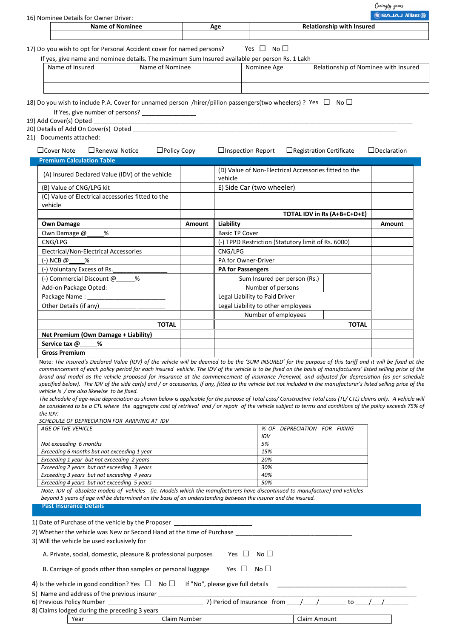Caringly yours **BAJAJ Allian** 

| BBAJAJ Allianz (<br>16) Nominee Details for Owner Driver: |                 |     |                                  |  |  |  |  |  |  |
|-----------------------------------------------------------|-----------------|-----|----------------------------------|--|--|--|--|--|--|
|                                                           | Name of Nominee | Age | <b>Relationship with Insured</b> |  |  |  |  |  |  |
|                                                           |                 |     |                                  |  |  |  |  |  |  |
|                                                           |                 |     |                                  |  |  |  |  |  |  |

17) Do you wish to opt for Personal Accident cover for named persons? Yes  $\Box$  No  $\Box$ If yes, give name and nominee details. The maximum Sum Insured available per person Rs. 1 Lakh

| Name of Insured | Name of Nominee | Nominee Age | Relationship of Nominee with Insured |
|-----------------|-----------------|-------------|--------------------------------------|
|                 |                 |             |                                      |
|                 |                 |             |                                      |

18) Do you wish to include P.A. Cover for unnamed person /hirer/pillion passengers(two wheelers) ? Yes  $\Box$  No  $\Box$ 

If Yes, give number of persons?

19) Add Cover(s) Opted

20) Details of Add On Cover(s) Opted

21) Documents attached:

| □Cover Note                      | $\Box$ Renewal Notice                             | $\Box$ Policy Copy |               | $\Box$ Inspection Report                                         | $\Box$ Registration Certificate | $\Box$ Declaration          |        |
|----------------------------------|---------------------------------------------------|--------------------|---------------|------------------------------------------------------------------|---------------------------------|-----------------------------|--------|
| <b>Premium Calculation Table</b> |                                                   |                    |               |                                                                  |                                 |                             |        |
|                                  | (A) Insured Declared Value (IDV) of the vehicle   |                    |               | (D) Value of Non-Electrical Accessories fitted to the<br>vehicle |                                 |                             |        |
| (B) Value of CNG/LPG kit         |                                                   |                    |               | E) Side Car (two wheeler)                                        |                                 |                             |        |
| vehicle                          | (C) Value of Electrical accessories fitted to the |                    |               |                                                                  |                                 |                             |        |
|                                  |                                                   |                    |               |                                                                  |                                 | TOTAL IDV in Rs (A+B+C+D+E) |        |
| <b>Own Damage</b>                |                                                   |                    | <b>Amount</b> | Liability                                                        |                                 |                             | Amount |
| Own Damage @                     | %                                                 |                    |               | <b>Basic TP Cover</b>                                            |                                 |                             |        |
| CNG/LPG                          |                                                   |                    |               | (-) TPPD Restriction (Statutory limit of Rs. 6000)               |                                 |                             |        |
|                                  | Electrical/Non-Electrical Accessories             |                    |               | CNG/LPG                                                          |                                 |                             |        |
| (-) NCB <i>@</i>                 | %                                                 |                    |               | PA for Owner-Driver                                              |                                 |                             |        |
| (-) Voluntary Excess of Rs.      |                                                   |                    |               | <b>PA for Passengers</b>                                         |                                 |                             |        |
| (-) Commercial Discount @_       | %                                                 |                    |               | Sum Insured per person (Rs.)                                     |                                 |                             |        |
| Add-on Package Opted:            |                                                   |                    |               | Number of persons                                                |                                 |                             |        |
| Package Name:                    |                                                   |                    |               | Legal Liability to Paid Driver                                   |                                 |                             |        |
| Other Details (if any)           |                                                   |                    |               | Legal Liability to other employees                               |                                 |                             |        |
|                                  |                                                   |                    |               | Number of employees                                              |                                 |                             |        |
|                                  |                                                   | <b>TOTAL</b>       |               |                                                                  |                                 | <b>TOTAL</b>                |        |
|                                  | Net Premium (Own Damage + Liability)              |                    |               |                                                                  |                                 |                             |        |
| Service tax @                    | %                                                 |                    |               |                                                                  |                                 |                             |        |
| <b>Gross Premium</b>             |                                                   |                    |               |                                                                  |                                 |                             |        |

Note: *The Insured's Declared Value (IDV) of the vehicle will be deemed to be the 'SUM INSURED' for the purpose of this tariff and it will be fixed at the commencement of each policy period for each insured vehicle. The IDV of the vehicle is to be fixed on the basis of manufacturers' listed selling price of the*  brand and model as the vehicle proposed for insurance at the commencement of insurance /renewal, and adjusted for depreciation (as per schedule *specified below). The IDV of the side car(s) and / or accessories, if any, fitted to the vehicle but not included in the manufacturer's listed selling price of the vehicle is / are also likewise to be fixed.* 

*The schedule of age-wise depreciation as shown below is applicable for the purpose of Total Loss/ Constructive Total Loss (TL/ CTL) claims only. A vehicle will be considered to be a CTL where the aggregate cost of retrieval and / or repair of the vehicle subject to terms and conditions of the policy exceeds 75% of the IDV.* 

*SCHEDULE OF DEPRECIATION FOR ARRIVING AT IDV* 

| AGE OF THE VEHICLE                          | % OF DEPRECIATION FOR FIXING |
|---------------------------------------------|------------------------------|
|                                             | IDV                          |
| Not exceeding 6 months                      | 5%                           |
| Exceeding 6 months but not exceeding 1 year | 15%                          |
| Exceeding 1 year but not exceeding 2 years  | 20%                          |
| Exceeding 2 years but not exceeding 3 years | 30%                          |
| Exceeding 3 years but not exceeding 4 years | 40%                          |
| Exceeding 4 years but not exceeding 5 years | 50%                          |

*Note. IDV of obsolete models of vehicles (ie. Models which the manufacturers have discontinued to manufacture) and vehicles beyond 5 years of age will be determined on the basis of an understanding between the insurer and the insured.*

**Past Insurance Details** 

| 1) Date of Purchase of the vehicle by the Proposer                                                                   |                                                                    |                                   |  |  |  |  |  |  |  |  |  |
|----------------------------------------------------------------------------------------------------------------------|--------------------------------------------------------------------|-----------------------------------|--|--|--|--|--|--|--|--|--|
| 2) Whether the vehicle was New or Second Hand at the time of Purchase<br>3) Will the vehicle be used exclusively for |                                                                    |                                   |  |  |  |  |  |  |  |  |  |
| A. Private, social, domestic, pleasure & professional purposes<br>No <sub>1</sub><br>Yes.<br>$\perp$                 |                                                                    |                                   |  |  |  |  |  |  |  |  |  |
| B. Carriage of goods other than samples or personal luggage                                                          |                                                                    | No <sub>1</sub><br>Yes            |  |  |  |  |  |  |  |  |  |
| 4) Is the vehicle in good condition? Yes $\Box$ No $\Box$                                                            |                                                                    | If "No", please give full details |  |  |  |  |  |  |  |  |  |
| 5) Name and address of the previous insurer                                                                          |                                                                    |                                   |  |  |  |  |  |  |  |  |  |
|                                                                                                                      | 7) Period of Insurance from /<br>6) Previous Policy Number<br>/ to |                                   |  |  |  |  |  |  |  |  |  |
| 8) Claims lodged during the preceding 3 years                                                                        |                                                                    |                                   |  |  |  |  |  |  |  |  |  |
| Year                                                                                                                 |                                                                    | Claim Amount                      |  |  |  |  |  |  |  |  |  |